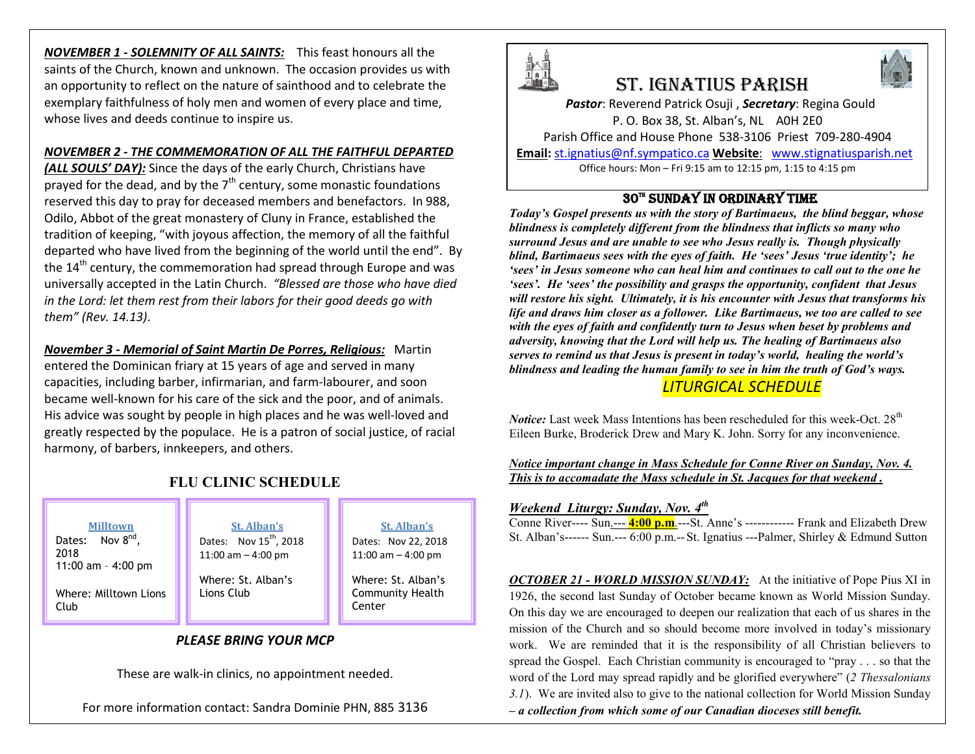*NOVEMBER 1 - SOLEMNITY OF ALL SAINTS:* This feast honours all the saints of the Church, known and unknown. The occasion provides us with an opportunity to reflect on the nature of sainthood and to celebrate the exemplary faithfulness of holy men and women of every place and time, whose lives and deeds continue to inspire us.

## *NOVEMBER 2 - THE COMMEMORATION OF ALL THE FAITHFUL DEPARTED*

*(ALL SOULS' DAY):* Since the days of the early Church, Christians have prayed for the dead, and by the  $7<sup>th</sup>$  century, some monastic foundations reserved this day to pray for deceased members and benefactors. In 988, Odilo, Abbot of the great monastery of Cluny in France, established the tradition of keeping, "with joyous affection, the memory of all the faithful departed who have lived from the beginning of the world until the end". By the 14<sup>th</sup> century, the commemoration had spread through Europe and was universally accepted in the Latin Church. *"Blessed are those who have died in the Lord: let them rest from their labors for their good deeds go with them" (Rev. 14.13)*.

*November 3 - Memorial of Saint Martin De Porres, Religious:* Martin entered the Dominican friary at 15 years of age and served in many capacities, including barber, infirmarian, and farm-labourer, and soon became well-known for his care of the sick and the poor, and of animals. His advice was sought by people in high places and he was well-loved and greatly respected by the populace. He is a patron of social justice, of racial harmony, of barbers, innkeepers, and others.

# **FLU CLINIC SCHEDULE**

#### **Milltown**

Dates: Nov 8<sup>nd</sup>, 2018 11:00 am – 4:00 pm

Where: Milltown Lions Club

#### **St. Alban's** Dates: Nov  $15^{th}$ , 2018 11:00 am – 4:00 pm

Where: St. Alban's Lions Club

## **St. Alban's**

Dates: Nov 22, 2018 11:00 am – 4:00 pm

Where: St. Alban's Community Health **Center** 

# *PLEASE BRING YOUR MCP*

These are walk-in clinics, no appointment needed.

For more information contact: Sandra Dominie PHN, 885 3136



# St. IgnatIuS parISh

*Pastor*: Reverend Patrick Osuji , *Secretary*: Regina Gould P. O. Box 38, St. Alban's, NL A0H 2E0 Parish Office and House Phone 538-3106 Priest 709-280-4904 **Email:** st.ignatius@nf.sympatico.ca **Website**: www.stignatiusparish.net

Office hours: Mon – Fri 9:15 am to 12:15 pm, 1:15 to 4:15 pm

# 30™ SUNDAY IN ORDINARY TIME

*Today's Gospel presents us with the story of Bartimaeus, the blind beggar, whose blindness is completely different from the blindness that inflicts so many who surround Jesus and are unable to see who Jesus really is. Though physically blind, Bartimaeus sees with the eyes of faith. He 'sees' Jesus 'true identity'; he 'sees' in Jesus someone who can heal him and continues to call out to the one he 'sees'. He 'sees' the possibility and grasps the opportunity, confident that Jesus will restore his sight. Ultimately, it is his encounter with Jesus that transforms his life and draws him closer as a follower. Like Bartimaeus, we too are called to see with the eyes of faith and confidently turn to Jesus when beset by problems and adversity, knowing that the Lord will help us. The healing of Bartimaeus also serves to remind us that Jesus is present in today's world, healing the world's blindness and leading the human family to see in him the truth of God's ways.* 

# *LITURGICAL SCHEDULE*

*Notice:* Last week Mass Intentions has been rescheduled for this week-Oct. 28<sup>th</sup> Eileen Burke, Broderick Drew and Mary K. John. Sorry for any inconvenience.

*Notice important change in Mass Schedule for Conne River on Sunday, Nov. 4. This is to accomadate the Mass schedule in St. Jacques for that weekend .*

## *Weekend Liturgy: Sunday, Nov. 4th*

Conne River---- Sun.--- **4:00 p.m**.---St. Anne's ------------ Frank and Elizabeth Drew St. Alban's------ Sun.--- 6:00 p.m.--St. Ignatius ---Palmer, Shirley & Edmund Sutton

*OCTOBER 21 - WORLD MISSION SUNDAY:* At the initiative of Pope Pius XI in 1926, the second last Sunday of October became known as World Mission Sunday. On this day we are encouraged to deepen our realization that each of us shares in the mission of the Church and so should become more involved in today's missionary work. We are reminded that it is the responsibility of all Christian believers to spread the Gospel. Each Christian community is encouraged to "pray . . . so that the word of the Lord may spread rapidly and be glorified everywhere" (*2 Thessalonians 3.1*). We are invited also to give to the national collection for World Mission Sunday *– a collection from which some of our Canadian dioceses still benefit.*

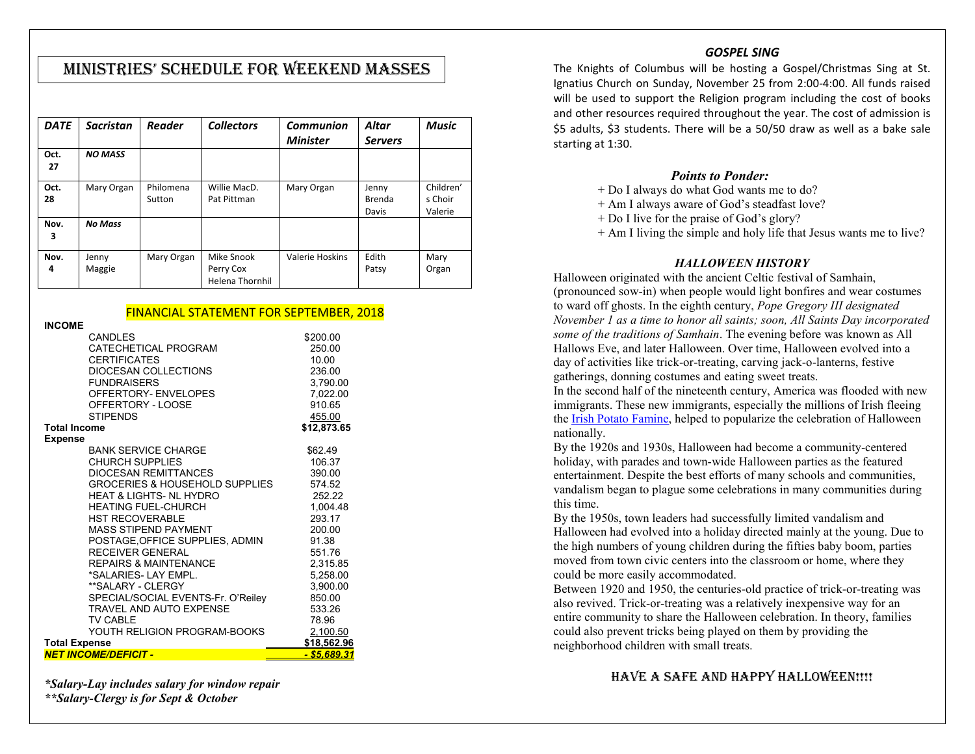# MInIStrIES' SchEDuLE FOr WEEkEnD MaSSES

| <b>DATE</b> | <b>Sacristan</b> | <b>Reader</b>       | <b>Collectors</b>                                 | <b>Communion</b> | Altar                    | <b>Music</b>                    |
|-------------|------------------|---------------------|---------------------------------------------------|------------------|--------------------------|---------------------------------|
|             |                  |                     |                                                   | <b>Minister</b>  | <b>Servers</b>           |                                 |
| Oct.<br>27  | <b>NO MASS</b>   |                     |                                                   |                  |                          |                                 |
| Oct.<br>28  | Mary Organ       | Philomena<br>Sutton | Willie MacD.<br>Pat Pittman                       | Mary Organ       | Jenny<br>Brenda<br>Davis | Children'<br>s Choir<br>Valerie |
| Nov.<br>3   | <b>No Mass</b>   |                     |                                                   |                  |                          |                                 |
| Nov.<br>4   | Jenny<br>Maggie  | Mary Organ          | Mike Snook<br>Perry Cox<br><b>Helena Thornhil</b> | Valerie Hoskins  | Edith<br>Patsy           | Mary<br>Organ                   |

## FINANCIAL STATEMENT FOR SEPTEMBER, 2018

| INCOME                      |                                                            |             |
|-----------------------------|------------------------------------------------------------|-------------|
|                             | CANDLES                                                    | \$200.00    |
|                             | CATECHETICAL PROGRAM                                       | 250.00      |
|                             | <b>CERTIFICATES</b>                                        | 10.00       |
|                             | DIOCESAN COLLECTIONS                                       | 236.00      |
|                             | <b>FUNDRAISERS</b>                                         | 3,790.00    |
|                             | OFFERTORY- ENVELOPES                                       | 7.022.00    |
|                             | OFFERTORY - LOOSE                                          | 910.65      |
|                             | <b>STIPFNDS</b>                                            | 455.00      |
| Total Income                |                                                            | \$12,873.65 |
| Expense                     |                                                            |             |
|                             | <b>BANK SERVICE CHARGE</b>                                 | \$62.49     |
|                             | <b>CHURCH SUPPLIES</b>                                     | 106.37      |
|                             | DIOCESAN REMITTANCES                                       | 390.00      |
|                             | GROCERIES & HOUSEHOLD SUPPLIES                             | 574.52      |
|                             | <b>HEAT &amp; LIGHTS- NL HYDRO</b>                         | 252.22      |
|                             | <b>HEATING FUEL-CHURCH</b>                                 | 1.004.48    |
|                             | <b>HST RECOVERABLE</b>                                     | 293.17      |
|                             | <b>MASS STIPEND PAYMENT</b>                                | 200.00      |
|                             |                                                            | 91.38       |
|                             | POSTAGE, OFFICE SUPPLIES, ADMIN<br><b>RECEIVER GENERAL</b> | 551.76      |
|                             |                                                            |             |
|                             | <b>REPAIRS &amp; MAINTENANCE</b><br>*SALARIES- LAY EMPL.   | 2,315.85    |
|                             |                                                            | 5,258.00    |
|                             | **SALARY - CLERGY                                          | 3,900.00    |
|                             | SPECIAL/SOCIAL EVENTS-Fr. O'Reiley                         | 850.00      |
|                             | <b>TRAVEL AND AUTO EXPENSE</b>                             | 533.26      |
|                             | <b>TV CABLE</b>                                            | 78.96       |
|                             | YOUTH RELIGION PROGRAM-BOOKS                               | 2,100.50    |
| <b>Total Expense</b>        | \$18,562.96                                                |             |
| <b>NET INCOME/DEFICIT -</b> | <u>- \$5.689.31</u>                                        |             |

*\*Salary-Lay includes salary for window repair \*\*Salary-Clergy is for Sept & October*

## *GOSPEL SING*

The Knights of Columbus will be hosting a Gospel/Christmas Sing at St. Ignatius Church on Sunday, November 25 from 2:00-4:00. All funds raised will be used to support the Religion program including the cost of books and other resources required throughout the year. The cost of admission is \$5 adults, \$3 students. There will be a 50/50 draw as well as a bake sale starting at 1:30.

#### *Points to Ponder:*

- + Do I always do what God wants me to do?
- + Am I always aware of God's steadfast love?
- + Do I live for the praise of God's glory?
- + Am I living the simple and holy life that Jesus wants me to live?

#### *HALLOWEEN HISTORY*

Halloween originated with the ancient Celtic festival of Samhain, (pronounced sow-in) when people would light bonfires and wear costumes to ward off ghosts. In the eighth century, *Pope Gregory III designated November 1 as a time to honor all saints; soon, All Saints Day incorporated some of the traditions of Samhain*. The evening before was known as All Hallows Eve, and later Halloween. Over time, Halloween evolved into a day of activities like trick-or-treating, carving jack-o-lanterns, festive gatherings, donning costumes and eating sweet treats.

In the second half of the nineteenth century, America was flooded with new immigrants. These new immigrants, especially the millions of Irish fleeing the Irish Potato Famine, helped to popularize the celebration of Halloween nationally.

By the 1920s and 1930s, Halloween had become a community-centered holiday, with parades and town-wide Halloween parties as the featured entertainment. Despite the best efforts of many schools and communities, vandalism began to plague some celebrations in many communities during this time.

By the 1950s, town leaders had successfully limited vandalism and Halloween had evolved into a holiday directed mainly at the young. Due to the high numbers of young children during the fifties baby boom, parties moved from town civic centers into the classroom or home, where they could be more easily accommodated.

Between 1920 and 1950, the centuries-old practice of trick-or-treating was also revived. Trick-or-treating was a relatively inexpensive way for an entire community to share the Halloween celebration. In theory, families could also prevent tricks being played on them by providing the neighborhood children with small treats.

# HAVE A SAFE AND HAPPY HALLOWEEN!!!!